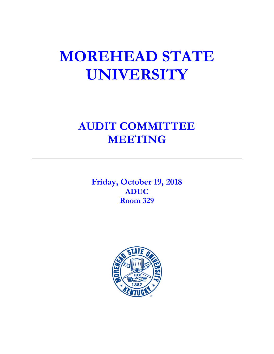# **MOREHEAD STATE UNIVERSITY**

# **AUDIT COMMITTEE MEETING**

**Friday, October 19, 2018 ADUC Room 329**

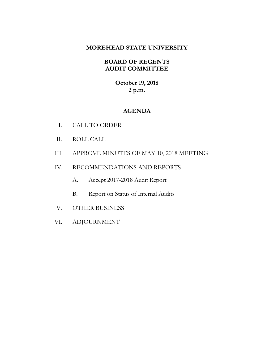# **MOREHEAD STATE UNIVERSITY**

# **BOARD OF REGENTS AUDIT COMMITTEE**

**October 19, 2018 2 p.m.**

# **AGENDA**

- I. CALL TO ORDER
- II. ROLL CALL
- III. APPROVE MINUTES OF MAY 10, 2018 MEETING
- IV. RECOMMENDATIONS AND REPORTS
	- A. Accept 2017-2018 Audit Report
	- B. Report on Status of Internal Audits
- V. OTHER BUSINESS
- VI. ADJOURNMENT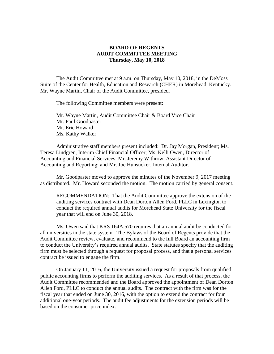#### **BOARD OF REGENTS AUDIT COMMITTEE MEETING Thursday, May 10, 2018**

The Audit Committee met at 9 a.m. on Thursday, May 10, 2018, in the DeMoss Suite of the Center for Health, Education and Research (CHER) in Morehead, Kentucky. Mr. Wayne Martin, Chair of the Audit Committee, presided.

The following Committee members were present:

Mr. Wayne Martin, Audit Committee Chair & Board Vice Chair Mr. Paul Goodpaster Mr. Eric Howard Ms. Kathy Walker

Administrative staff members present included: Dr. Jay Morgan, President; Ms. Teresa Lindgren, Interim Chief Financial Officer; Ms. Kelli Owen, Director of Accounting and Financial Services; Mr. Jeremy Withrow, Assistant Director of Accounting and Reporting; and Mr. Joe Hunsucker, Internal Auditor.

Mr. Goodpaster moved to approve the minutes of the November 9, 2017 meeting as distributed. Mr. Howard seconded the motion. The motion carried by general consent.

RECOMMENDATION: That the Audit Committee approve the extension of the auditing services contract with Dean Dorton Allen Ford, PLLC in Lexington to conduct the required annual audits for Morehead State University for the fiscal year that will end on June 30, 2018.

Ms. Owen said that KRS 164A.570 requires that an annual audit be conducted for all universities in the state system. The Bylaws of the Board of Regents provide that the Audit Committee review, evaluate, and recommend to the full Board an accounting firm to conduct the University's required annual audits. State statutes specify that the auditing firm must be selected through a request for proposal process, and that a personal services contract be issued to engage the firm.

On January 11, 2016, the University issued a request for proposals from qualified public accounting firms to perform the auditing services. As a result of that process, the Audit Committee recommended and the Board approved the appointment of Dean Dorton Allen Ford, PLLC to conduct the annual audits. The contract with the firm was for the fiscal year that ended on June 30, 2016, with the option to extend the contract for four additional one-year periods. The audit fee adjustments for the extension periods will be based on the consumer price index.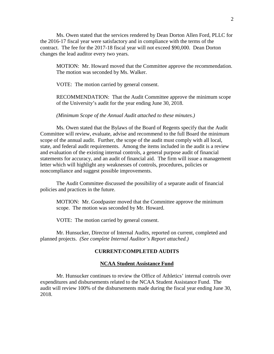Ms. Owen stated that the services rendered by Dean Dorton Allen Ford, PLLC for the 2016-17 fiscal year were satisfactory and in compliance with the terms of the contract. The fee for the 2017-18 fiscal year will not exceed \$90,000. Dean Dorton changes the lead auditor every two years.

MOTION: Mr. Howard moved that the Committee approve the recommendation. The motion was seconded by Ms. Walker.

VOTE: The motion carried by general consent.

RECOMMENDATION: That the Audit Committee approve the minimum scope of the University's audit for the year ending June 30, 2018.

*(Minimum Scope of the Annual Audit attached to these minutes.)*

Ms. Owen stated that the Bylaws of the Board of Regents specify that the Audit Committee will review, evaluate, advise and recommend to the full Board the minimum scope of the annual audit. Further, the scope of the audit must comply with all local, state, and federal audit requirements. Among the items included in the audit is a review and evaluation of the existing internal controls, a general purpose audit of financial statements for accuracy, and an audit of financial aid. The firm will issue a management letter which will highlight any weaknesses of controls, procedures, policies or noncompliance and suggest possible improvements.

The Audit Committee discussed the possibility of a separate audit of financial policies and practices in the future.

MOTION: Mr. Goodpaster moved that the Committee approve the minimum scope. The motion was seconded by Mr. Howard.

VOTE: The motion carried by general consent.

Mr. Hunsucker, Director of Internal Audits, reported on current, completed and planned projects. *(See complete Internal Auditor's Report attached.)*

#### **CURRENT/COMPLETED AUDITS**

#### **NCAA Student Assistance Fund**

Mr. Hunsucker continues to review the Office of Athletics' internal controls over expenditures and disbursements related to the NCAA Student Assistance Fund. The audit will review 100% of the disbursements made during the fiscal year ending June 30, 2018.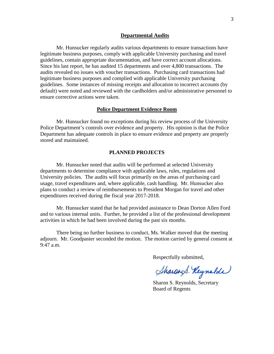#### **Departmental Audits**

Mr. Hunsucker regularly audits various departments to ensure transactions have legitimate business purposes, comply with applicable University purchasing and travel guidelines, contain appropriate documentation, and have correct account allocations. Since his last report, he has audited 15 departments and over 4,800 transactions. The audits revealed no issues with voucher transactions. Purchasing card transactions had legitimate business purposes and complied with applicable University purchasing guidelines. Some instances of missing receipts and allocation to incorrect accounts (by default) were noted and reviewed with the cardholders and/or administrative personnel to ensure corrective actions were taken.

#### **Police Department Evidence Room**

Mr. Hunsucker found no exceptions during his review process of the University Police Department's controls over evidence and property. His opinion is that the Police Department has adequate controls in place to ensure evidence and property are properly stored and maintained.

#### **PLANNED PROJECTS**

Mr. Hunsucker noted that audits will be performed at selected University departments to determine compliance with applicable laws, rules, regulations and University policies. The audits will focus primarily on the areas of purchasing card usage, travel expenditures and, where applicable, cash handling. Mr. Hunsucker also plans to conduct a review of reimbursements to President Morgan for travel and other expenditures received during the fiscal year 2017-2018.

Mr. Hunsucker stated that he had provided assistance to Dean Dorton Allen Ford and to various internal units. Further, he provided a list of the professional development activities in which he had been involved during the past six months.

There being no further business to conduct, Ms. Walker moved that the meeting adjourn. Mr. Goodpaster seconded the motion. The motion carried by general consent at 9:47 a.m.

Respectfully submitted,

Sharend. Reynolde

Sharon S. Reynolds, Secretary Board of Regents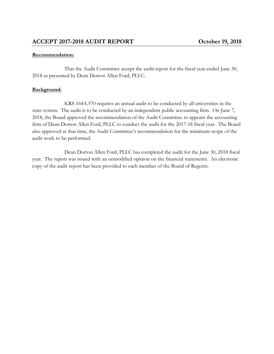# **Recommendation:**

That the Audit Committee accept the audit report for the fiscal year ended June 30, 2018 as presented by Dean Dorton Allen Ford, PLLC.

# **Background:**

KRS 164A.570 requires an annual audit to be conducted by all universities in the state system. The audit is to be conducted by an independent public accounting firm. On June 7, 2018, the Board approved the recommendation of the Audit Committee to appoint the accounting firm of Dean Dorton Allen Ford, PLLC to conduct the audit for the 2017-18 fiscal year. The Board also approved at that time, the Audit Committee's recommendation for the minimum scope of the audit work to be performed.

Dean Dorton Allen Ford, PLLC has completed the audit for the June 30, 2018 fiscal year. The report was issued with an unmodified opinion on the financial statements. An electronic copy of the audit report has been provided to each member of the Board of Regents.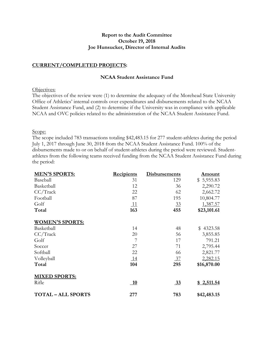#### **Report to the Audit Committee October 19, 2018 Joe Hunsucker, Director of Internal Audits**

#### **CURRENT/COMPLETED PROJECTS:**

#### **NCAA Student Assistance Fund**

#### Objectives:

The objectives of the review were (1) to determine the adequacy of the Morehead State University Office of Athletics' internal controls over expenditures and disbursements related to the NCAA Student Assistance Fund, and (2) to determine if the University was in compliance with applicable NCAA and OVC policies related to the administration of the NCAA Student Assistance Fund.

#### Scope:

The scope included 783 transactions totaling \$42,483.15 for 277 student-athletes during the period July 1, 2017 through June 30, 2018 from the NCAA Student Assistance Fund. 100% of the disbursements made to or on behalf of student-athletes during the period were reviewed. Studentathletes from the following teams received funding from the NCAA Student Assistance Fund during the period:

| <b>MEN'S SPORTS:</b>    | <b>Recipients</b> | <b>Disbursements</b> | <u>Amount</u> |
|-------------------------|-------------------|----------------------|---------------|
| Baseball                | 31                | 129                  | \$5,955.83    |
| Basketball              | 12                | 36                   | 2,290.72      |
| CC/Track                | 22                | 62                   | 2,662.72      |
| Football                | 87                | 195                  | 10,804.77     |
| Golf                    | <u> 11</u>        | 33                   | 1,387.57      |
| Total                   | 163               | 455                  | \$23,101.61   |
| <b>WOMEN'S SPORTS:</b>  |                   |                      |               |
| Basketball              | 14                | 48                   | \$4323.58     |
| $CC/T$ rack             | 20                | 56                   | 3,855.85      |
| Golf                    | 7                 | 17                   | 791.21        |
| Soccer                  | 27                | 71                   | 2,795.44      |
| Softball                | 22                | 66                   | 2,821.77      |
| Volleyball              | 14                | $\frac{37}{2}$       | 2,282.15      |
| Total                   | 104               | 295                  | \$16,870.00   |
| <b>MIXED SPORTS:</b>    |                   |                      |               |
| Rifle                   | <b>10</b>         | <u>33</u>            | \$2,511.54    |
| <b>TOTAL-ALL SPORTS</b> | 277               | 783                  | \$42,483.15   |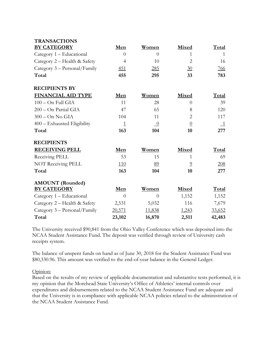| <b>TRANSACTIONS</b>          |                |                           |                |              |
|------------------------------|----------------|---------------------------|----------------|--------------|
| <b>BY CATEGORY</b>           | Men            | Women                     | <b>Mixed</b>   | Total        |
| Category 1 – Educational     | $\Omega$       | $\Omega$                  | 1              | 1            |
| Category 2 - Health & Safety | $\overline{4}$ | 10                        | 2              | 16           |
| Category 3 – Personal/Family | <u>451</u>     | <u>285</u>                | 30             | 766          |
| Total                        | 455            | 295                       | 33             | 783          |
| <b>RECIPIENTS BY</b>         |                |                           |                |              |
| <b>FINANCIAL AID TYPE</b>    | Men            | Women                     | <b>Mixed</b>   | Total        |
| $100 - On Full GIA$          | 11             | 28                        | $\theta$       | 39           |
| 200 - On Partial GIA         | 47             | 65                        | 8              | 120          |
| $300 - On No GIA$            | 104            | 11                        | $\overline{2}$ | 117          |
| 400 - Exhausted Eligibility  | $\overline{1}$ | $\overline{\phantom{0}0}$ | $\overline{0}$ | $\perp$      |
| Total                        | 163            | 104                       | 10             | 277          |
| <b>RECIPIENTS</b>            |                |                           |                |              |
| <b>RECEIVING PELL</b>        | Men            | Women                     | Mixed          | Total        |
| Receiving PELL               | 53             | 15                        | 1              | 69           |
| NOT Receiving PELL           | 110            | 89                        | $\overline{0}$ | <u>208</u>   |
| Total                        | 163            | 104                       | 10             | 277          |
| <b>AMOUNT</b> (Rounded)      |                |                           |                |              |
| <b>BY CATEGORY</b>           | Men            | Women                     | Mixed          | <b>Total</b> |
| Category 1 - Educational     | $\overline{0}$ | $\theta$                  | 1,152          | 1,152        |
| Category 2 – Health & Safety | 2,531          | 5,032                     | 116            | 7,679        |
| Category 3 – Personal/Family | 20,571         | 11,838                    | 1,243          | 33,652       |
| Total                        | 23,102         | 16,870                    | 2,511          | 42,483       |

The University received \$90,841 from the Ohio Valley Conference which was deposited into the NCAA Student Assistance Fund. The deposit was verified through review of University cash receipts system.

The balance of unspent funds on hand as of June 30, 2018 for the Student Assistance Fund was \$80,330.96. This amount was verified to the end-of-year balance in the General Ledger.

Opinion:

Based on the results of my review of applicable documentation and substantive tests performed, it is my opinion that the Morehead State University's Office of Athletics' internal controls over expenditures and disbursements related to the NCAA Student Assistance Fund are adequate and that the University is in compliance with applicable NCAA policies related to the administration of the NCAA Student Assistance Fund.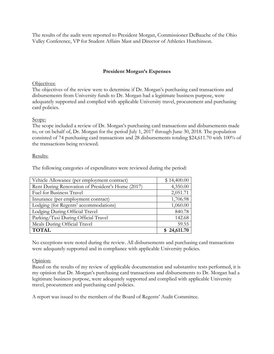The results of the audit were reported to President Morgan, Commissioner DeBauche of the Ohio Valley Conference, VP for Student Affairs Mast and Director of Athletics Hutchinson.

# **President Morgan's Expenses**

#### Objectives:

The objectives of the review were to determine if Dr. Morgan's purchasing card transactions and disbursements from University funds to Dr. Morgan had a legitimate business purpose, were adequately supported and complied with applicable University travel, procurement and purchasing card policies.

#### Scope:

The scope included a review of Dr. Morgan's purchasing card transactions and disbursements made to, or on behalf of, Dr. Morgan for the period July 1, 2017 through June 30, 2018. The population consisted of 74 purchasing card transactions and 28 disbursements totaling \$24,611.70 with 100% of the transactions being reviewed.

#### Results:

The following categories of expenditures were reviewed during the period:

| Vehicle Allowance (per employment contract)       | \$14,400.00 |
|---------------------------------------------------|-------------|
| Rent During Renovation of President's Home (2017) | 4,350.00    |
| <b>Fuel for Business Travel</b>                   | 2,051.71    |
| Insurance (per employment contract)               | 1,706.98    |
| Lodging (for Regents' accommodations)             | 1,060.00    |
| Lodging During Official Travel                    | 840.78      |
| Parking/Taxi During Official Travel               | 142.68      |
| Meals During Official Travel                      | 59.55       |
| <b>TOTAL</b>                                      | \$24,611.70 |

No exceptions were noted during the review. All disbursements and purchasing card transactions were adequately supported and in compliance with applicable University policies.

#### Opinion:

Based on the results of my review of applicable documentation and substantive tests performed, it is my opinion that Dr. Morgan's purchasing card transactions and disbursements to Dr. Morgan had a legitimate business purpose, were adequately supported and complied with applicable University travel, procurement and purchasing card policies.

A report was issued to the members of the Board of Regents' Audit Committee.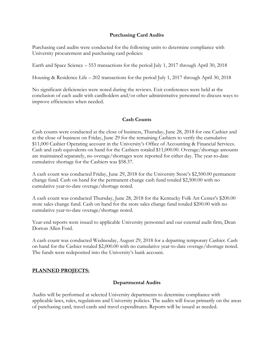#### **Purchasing Card Audits**

Purchasing card audits were conducted for the following units to determine compliance with University procurement and purchasing card policies:

Earth and Space Science – 553 transactions for the period July 1, 2017 through April 30, 2018

Housing & Residence Life – 202 transactions for the period July 1, 2017 through April 30, 2018

No significant deficiencies were noted during the reviews. Exit conferences were held at the conclusion of each audit with cardholders and/or other administrative personnel to discuss ways to improve efficiencies when needed.

#### **Cash Counts**

Cash counts were conducted at the close of business, Thursday, June 28, 2018 for one Cashier and at the close of business on Friday, June 29 for the remaining Cashiers to verify the cumulative \$11,000 Cashier Operating account in the University's Office of Accounting & Financial Services. Cash and cash equivalents on hand for the Cashiers totaled \$11,000.00. Overage/shortage amounts are maintained separately, no overage/shortages were reported for either day. The year-to-date cumulative shortage for the Cashiers was \$58.37.

A cash count was conducted Friday, June 29, 2018 for the University Store's \$2,500.00 permanent change fund. Cash on hand for the permanent change cash fund totaled \$2,500.00 with no cumulative year-to-date overage/shortage noted.

A cash count was conducted Thursday, June 28, 2018 for the Kentucky Folk Art Center's \$200.00 store sales change fund. Cash on hand for the store sales change fund totaled \$200.00 with no cumulative year-to-date overage/shortage noted.

Year-end reports were issued to applicable University personnel and our external audit firm, Dean Dorton Allen Ford.

A cash count was conducted Wednesday, August 29, 2018 for a departing temporary Cashier. Cash on hand for the Cashier totaled \$2,000.00 with no cumulative year-to-date overage/shortage noted. The funds were redeposited into the University's bank account.

# **PLANNED PROJECTS:**

#### **Departmental Audits**

Audits will be performed at selected University departments to determine compliance with applicable laws, rules, regulations and University policies. The audits will focus primarily on the areas of purchasing card, travel cards and travel expenditures. Reports will be issued as needed.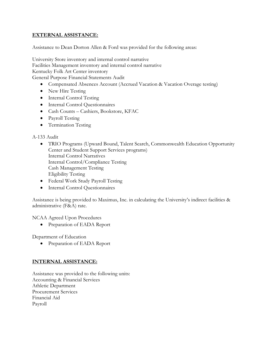### **EXTERNAL ASSISTANCE:**

Assistance to Dean Dorton Allen & Ford was provided for the following areas:

University Store inventory and internal control narrative Facilities Management inventory and internal control narrative Kentucky Folk Art Center inventory General Purpose Financial Statements Audit

- Compensated Absences Account (Accrued Vacation & Vacation Overage testing)
- New Hire Testing
- Internal Control Testing
- Internal Control Questionnaires
- Cash Counts Cashiers, Bookstore, KFAC
- Payroll Testing
- Termination Testing

#### A-133 Audit

- TRIO Programs (Upward Bound, Talent Search, Commonwealth Education Opportunity Center and Student Support Services programs) Internal Control Narratives Internal Control/Compliance Testing Cash Management Testing Eligibility Testing
- Federal Work Study Payroll Testing
- Internal Control Questionnaires

Assistance is being provided to Maximus, Inc. in calculating the University's indirect facilities & administrative (F&A) rate.

NCAA Agreed Upon Procedures

• Preparation of EADA Report

Department of Education

• Preparation of EADA Report

#### **INTERNAL ASSISTANCE:**

Assistance was provided to the following units: Accounting & Financial Services Athletic Department Procurement Services Financial Aid Payroll